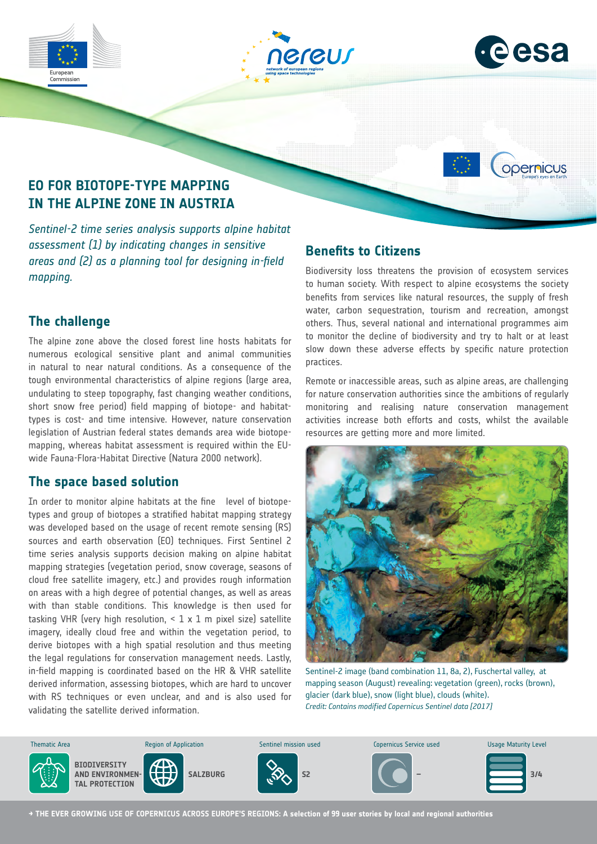







# **EO FOR BIOTOPE-TYPE MAPPING IN THE ALPINE ZONE IN AUSTRIA**

*Sentinel-2 time series analysis supports alpine habitat assessment (1) by indicating changes in sensitive areas and (2) as a planning tool for designing in-field mapping.*

## **The challenge**

The alpine zone above the closed forest line hosts habitats for numerous ecological sensitive plant and animal communities in natural to near natural conditions. As a consequence of the tough environmental characteristics of alpine regions (large area, undulating to steep topography, fast changing weather conditions, short snow free period) field mapping of biotope- and habitattypes is cost- and time intensive. However, nature conservation legislation of Austrian federal states demands area wide biotopemapping, whereas habitat assessment is required within the EUwide Fauna-Flora-Habitat Directive (Natura 2000 network).

### **The space based solution**

In order to monitor alpine habitats at the fine level of biotopetypes and group of biotopes a stratified habitat mapping strategy was developed based on the usage of recent remote sensing (RS) sources and earth observation (EO) techniques. First Sentinel 2 time series analysis supports decision making on alpine habitat mapping strategies (vegetation period, snow coverage, seasons of cloud free satellite imagery, etc.) and provides rough information on areas with a high degree of potential changes, as well as areas with than stable conditions. This knowledge is then used for tasking VHR (very high resolution,  $<$  1 x 1 m pixel size) satellite imagery, ideally cloud free and within the vegetation period, to derive biotopes with a high spatial resolution and thus meeting the legal regulations for conservation management needs. Lastly, in-field mapping is coordinated based on the HR & VHR satellite derived information, assessing biotopes, which are hard to uncover with RS techniques or even unclear, and and is also used for validating the satellite derived information.

# **Benefits to Citizens**

Biodiversity loss threatens the provision of ecosystem services to human society. With respect to alpine ecosystems the society benefits from services like natural resources, the supply of fresh water, carbon sequestration, tourism and recreation, amongst others. Thus, several national and international programmes aim to monitor the decline of biodiversity and try to halt or at least slow down these adverse effects by specific nature protection practices.

Remote or inaccessible areas, such as alpine areas, are challenging for nature conservation authorities since the ambitions of regularly monitoring and realising nature conservation management activities increase both efforts and costs, whilst the available resources are getting more and more limited.



Sentinel-2 image (band combination 11, 8a, 2), Fuschertal valley, at mapping season (August) revealing: vegetation (green), rocks (brown), glacier (dark blue), snow (light blue), clouds (white). *Credit: Contains modified Copernicus Sentinel data [2017]*